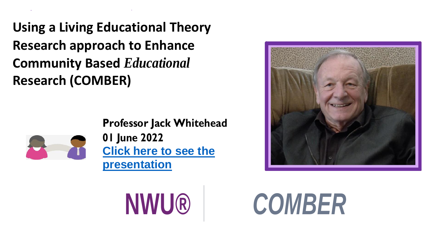**Using a Living Educational Theory Research approach to Enhance Community Based** *Educational* **Research (COMBER)**



**Professor Jack Whitehead 01 June 2022 [Click here to see the](https://youtu.be/U_45KmWWdJE)  [presentation](https://youtu.be/U_45KmWWdJE)**



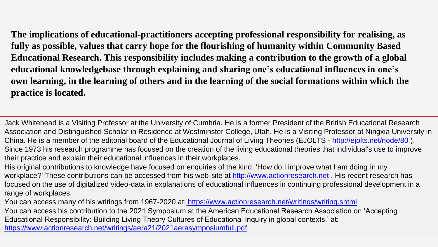**The implications of educational-practitioners accepting professional responsibility for realising, as fully as possible, values that carry hope for the flourishing of humanity within Community Based Educational Research. This responsibility includes making a contribution to the growth of a global educational knowledgebase through explaining and sharing one's educational influences in one's own learning, in the learning of others and in the learning of the social formations within which the practice is located.**

Jack Whitehead is a Visiting Professor at the University of Cumbria. He is a former President of the British Educational Research Association and Distinguished Scholar in Residence at Westminster College, Utah. He is a Visiting Professor at Ningxia University in China. He is a member of the editorial board of the Educational Journal of Living Theories (EJOLTS - <http://ejolts.net/node/80> ). Since 1973 his research programme has focused on the creation of the living educational theories that individual's use to improve their practice and explain their educational influences in their workplaces.

His original contributions to knowledge have focused on enquiries of the kind, 'How do I improve what I am doing in my workplace?' These contributions can be accessed from his web-site at [http://www.actionresearch.net](http://www.actionresearch.net/) . His recent research has focused on the use of digitalized video-data in explanations of educational influences in continuing professional development in a range of workplaces.

You can access many of his writings from 1967-2020 at: <https://www.actionresearch.net/writings/writing.shtml>

You can access his contribution to the 2021 Symposium at the American Educational Research Association on 'Accepting Educational Responsibility: Building Living Theory Cultures of Educational Inquiry in global contexts.' at: <https://www.actionresearch.net/writings/aera21/2021aerasymposiumfull.pdf>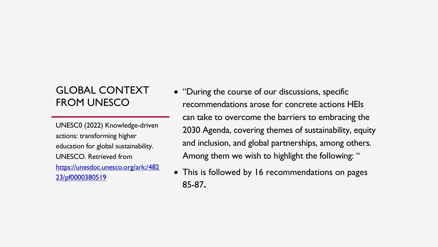## GLOBAL CONTEXT FROM UNESCO

UNESC0 (2022) Knowledge-driven actions: transforming higher education for global sustainability. UNESCO. Retrieved from [https://unesdoc.unesco.org/ark:/482](https://unesdoc.unesco.org/ark:/48223/pf0000380519)  [23/pf0000380519](https://unesdoc.unesco.org/ark:/48223/pf0000380519)

- "During the course of our discussions, specific recommendations arose for concrete actions HEIs can take to overcome the barriers to embracing the 2030 Agenda, covering themes of sustainability, equity and inclusion, and global partnerships, among others. Among them we wish to highlight the following: "
- This is followed by 16 recommendations on pages 85-87**.**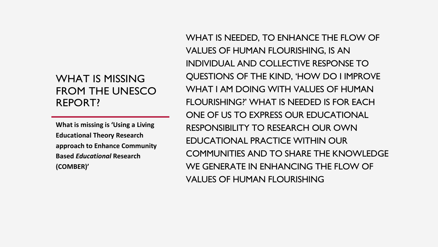## WHAT IS MISSING FROM THE UNESCO REPORT?

**What is missing is 'Using a Living Educational Theory Research approach to Enhance Community Based** *Educational* **Research (COMBER)'**

WHAT IS NEEDED, TO ENHANCE THE FLOW OF VALUES OF HUMAN FLOURISHING, IS AN INDIVIDUAL AND COLLECTIVE RESPONSE TO QUESTIONS OF THE KIND, 'HOW DO I IMPROVE WHAT I AM DOING WITH VALUES OF HUMAN FLOURISHING?' WHAT IS NEEDED IS FOR EACH ONE OF US TO EXPRESS OUR EDUCATIONAL RESPONSIBILITY TO RESEARCH OUR OWN EDUCATIONAL PRACTICE WITHIN OUR COMMUNITIES AND TO SHARE THE KNOWLEDGE WE GENERATE IN ENHANCING THE FLOW OF VALUES OF HUMAN FLOURISHING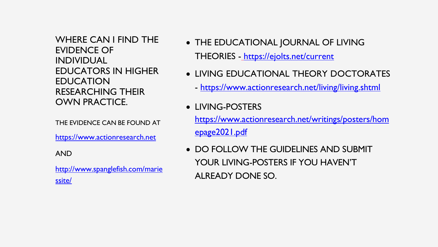WHERE CAN I FIND THE EVIDENCE OF INDIVIDUAL EDUCATORS IN HIGHER EDUCATION RESEARCHING THEIR OWN PRACTICE.

THE EVIDENCE CAN BE FOUND AT

[https://www.actionresearch.net](https://www.actionresearch.net/)

AND

[http://www.spanglefish.com/marie](http://www.spanglefish.com/mariessite/)  [ssite/](http://www.spanglefish.com/mariessite/)

- THE EDUCATIONAL JOURNAL OF LIVING THEORIES - <https://ejolts.net/current>
- LIVING EDUCATIONAL THEORY DOCTORATES
	- <https://www.actionresearch.net/living/living.shtml>
- LIVING-POSTERS

[https://www.actionresearch.net/writings/posters/hom](https://www.actionresearch.net/writings/posters/homepage2021.pdf) [epage2021.pdf](https://www.actionresearch.net/writings/posters/homepage2021.pdf)

• DO FOLLOW THE GUIDELINES AND SUBMIT YOUR LIVING-POSTERS IF YOU HAVEN'T ALREADY DONE SO.